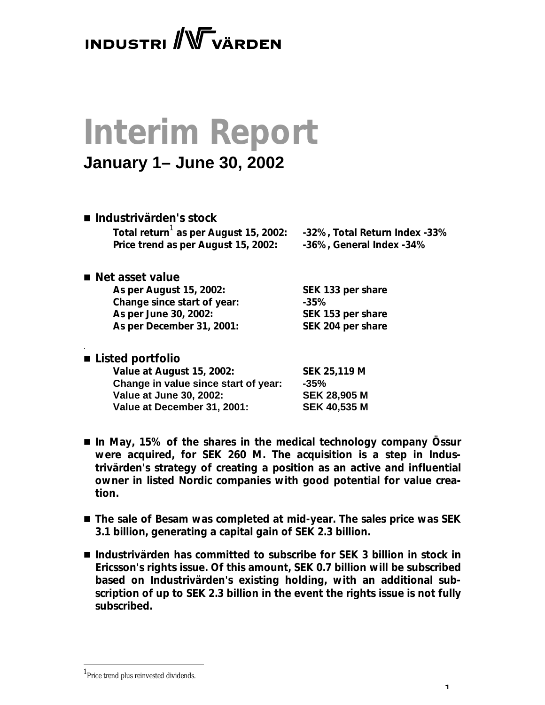## **INDUSTRI** WVÄRDEN

# **Interim Report**

### **January 1– June 30, 2002**

| ■ Industrivärden's stock<br>Total return <sup>1</sup> as per August 15, 2002:<br>Price trend as per August 15, 2002: | -32%, Total Return Index -33%<br>-36%, General Index -34% |
|----------------------------------------------------------------------------------------------------------------------|-----------------------------------------------------------|
| ■ Net asset value                                                                                                    |                                                           |
| As per August 15, 2002:                                                                                              | SEK 133 per share                                         |
| Change since start of year:                                                                                          | $-35%$                                                    |
| As per June 30, 2002:                                                                                                | SEK 153 per share                                         |
| As per December 31, 2001:                                                                                            | SEK 204 per share                                         |
| ■ Listed portfolio                                                                                                   |                                                           |
| Value at August 15, 2002:                                                                                            | <b>SEK 25,119 M</b>                                       |

**Change in value since start of year: -35%**

**Value at June 30, 2002: SEK 28,905 M Value at December 31, 2001: SEK 40,535 M**

- In May, 15% of the shares in the medical technology company Össur *were acquired, for SEK 260 M. The acquisition is a step in Industrivärden's strategy of creating a position as an active and influential owner in listed Nordic companies with good potential for value creation.*
- The sale of Besam was completed at mid-year. The sales price was SEK *3.1 billion, generating a capital gain of SEK 2.3 billion.*
- *Industrivärden has committed to subscribe for SEK 3 billion in stock in Ericsson's rights issue. Of this amount, SEK 0.7 billion will be subscribed based on Industrivärden's existing holding, with an additional subscription of up to SEK 2.3 billion in the event the rights issue is not fully subscribed.*

<sup>&</sup>lt;sup>1</sup>Price trend plus reinvested dividends.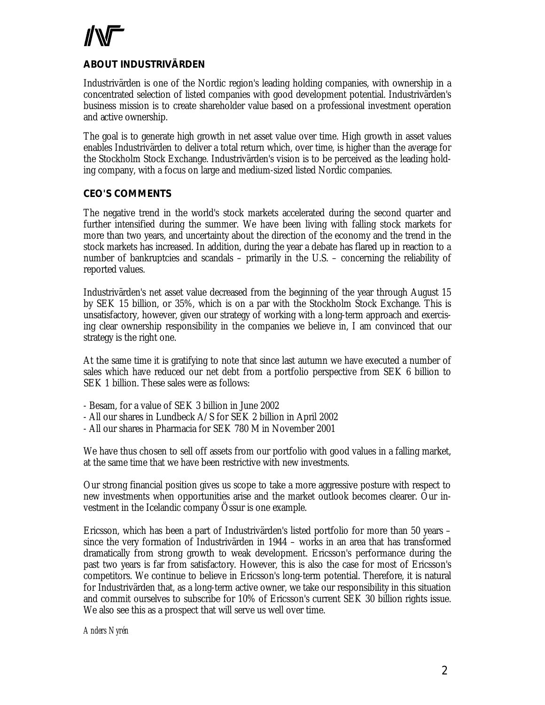### **ABOUT INDUSTRIVÄRDEN**

Industrivärden is one of the Nordic region's leading holding companies, with ownership in a concentrated selection of listed companies with good development potential. Industrivärden's business mission is to create shareholder value based on a professional investment operation and active ownership.

The goal is to generate high growth in net asset value over time. High growth in asset values enables Industrivärden to deliver a total return which, over time, is higher than the average for the Stockholm Stock Exchange. Industrivärden's vision is to be perceived as the leading holding company, with a focus on large and medium-sized listed Nordic companies.

#### **CEO'S COMMENTS**

The negative trend in the world's stock markets accelerated during the second quarter and further intensified during the summer. We have been living with falling stock markets for more than two years, and uncertainty about the direction of the economy and the trend in the stock markets has increased. In addition, during the year a debate has flared up in reaction to a number of bankruptcies and scandals – primarily in the U.S. – concerning the reliability of reported values.

Industrivärden's net asset value decreased from the beginning of the year through August 15 by SEK 15 billion, or 35%, which is on a par with the Stockholm Stock Exchange. This is unsatisfactory, however, given our strategy of working with a long-term approach and exercising clear ownership responsibility in the companies we believe in, I am convinced that our strategy is the right one.

At the same time it is gratifying to note that since last autumn we have executed a number of sales which have reduced our net debt from a portfolio perspective from SEK 6 billion to SEK 1 billion. These sales were as follows:

- Besam, for a value of SEK 3 billion in June 2002
- All our shares in Lundbeck A/S for SEK 2 billion in April 2002
- All our shares in Pharmacia for SEK 780 M in November 2001

We have thus chosen to sell off assets from our portfolio with good values in a falling market, at the same time that we have been restrictive with new investments.

Our strong financial position gives us scope to take a more aggressive posture with respect to new investments when opportunities arise and the market outlook becomes clearer. Our investment in the Icelandic company Össur is one example.

Ericsson, which has been a part of Industrivärden's listed portfolio for more than 50 years – since the very formation of Industrivärden in 1944 – works in an area that has transformed dramatically from strong growth to weak development. Ericsson's performance during the past two years is far from satisfactory. However, this is also the case for most of Ericsson's competitors. We continue to believe in Ericsson's long-term potential. Therefore, it is natural for Industrivärden that, as a long-term active owner, we take our responsibility in this situation and commit ourselves to subscribe for 10% of Ericsson's current SEK 30 billion rights issue. We also see this as a prospect that will serve us well over time.

*Anders Nyrén*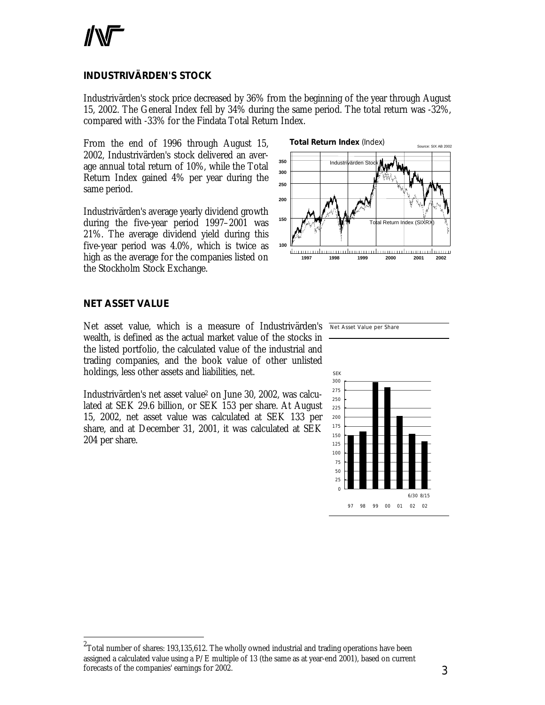### **INDUSTRIVÄRDEN'S STOCK**

Industrivärden's stock price decreased by 36% from the beginning of the year through August 15, 2002. The General Index fell by 34% during the same period. The total return was -32%, compared with -33% for the Findata Total Return Index.

From the end of 1996 through August 15, 2002, Industrivärden's stock delivered an average annual total return of 10%, while the Total Return Index gained 4% per year during the same period.

Industrivärden's average yearly dividend growth during the five-year period 1997–2001 was 21%. The average dividend yield during this five-year period was 4.0%, which is twice as high as the average for the companies listed on the Stockholm Stock Exchange.



#### **NET ASSET VALUE**

l

Net asset value, which is a measure of Industrivärden's Net Asset Value per Share wealth, is defined as the actual market value of the stocks in the listed portfolio, the calculated value of the industrial and trading companies, and the book value of other unlisted holdings, less other assets and liabilities, net.

Industrivärden's net asset value<sup>2</sup> on June 30, 2002, was calculated at SEK 29.6 billion, or SEK 153 per share. At August 15, 2002, net asset value was calculated at SEK 133 per share, and at December 31, 2001, it was calculated at SEK 204 per share.





 $^{\rm 2}$ Total number of shares: 193,135,612. The wholly owned industrial and trading operations have been assigned a calculated value using a  $P/E$  multiple of 13 (the same as at year-end 2001), based on current forecasts of the companies' earnings for 2002.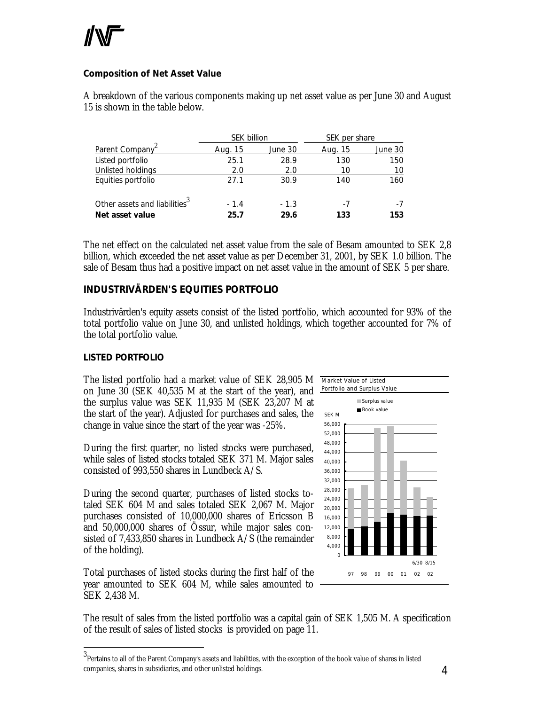#### **Composition of Net Asset Value**

A breakdown of the various components making up net asset value as per June 30 and August 15 is shown in the table below.

|                                           | <b>SEK billion</b> |         | SEK per share |         |
|-------------------------------------------|--------------------|---------|---------------|---------|
| Parent Company <sup>2</sup>               | Aug. 15            | June 30 | Aug. 15       | June 30 |
| Listed portfolio                          | 25.1               | 28.9    | 130           | 150     |
| <b>Unlisted holdings</b>                  | 2.0                | 2.0     | 10            | 10      |
| Equities portfolio                        | 27.1               | 30.9    | 140           | 160     |
|                                           |                    |         |               |         |
| Other assets and liabilities <sup>3</sup> | $-1.4$             | $-1.3$  |               | $-1$    |
| Net asset value                           | 25.7               | 29.6    | 133           | 153     |

The net effect on the calculated net asset value from the sale of Besam amounted to SEK 2,8 billion, which exceeded the net asset value as per December 31, 2001, by SEK 1.0 billion. The sale of Besam thus had a positive impact on net asset value in the amount of SEK 5 per share.

### **INDUSTRIVÄRDEN'S EQUITIES PORTFOLIO**

Industrivärden's equity assets consist of the listed portfolio, which accounted for 93% of the total portfolio value on June 30, and unlisted holdings, which together accounted for 7% of the total portfolio value.

#### *LISTED PORTFOLIO*

l

The listed portfolio had a market value of SEK 28,905 M on June 30 (SEK 40,535 M at the start of the year), and the surplus value was SEK 11,935 M (SEK 23,207 M at the start of the year). Adjusted for purchases and sales, the change in value since the start of the year was -25%.

During the first quarter, no listed stocks were purchased, while sales of listed stocks totaled SEK 371 M. Major sales consisted of 993,550 shares in Lundbeck A/S.

During the second quarter, purchases of listed stocks totaled SEK 604 M and sales totaled SEK 2,067 M. Major purchases consisted of 10,000,000 shares of Ericsson B and 50,000,000 shares of Össur, while major sales consisted of 7,433,850 shares in Lundbeck A/S (the remainder of the holding).

Total purchases of listed stocks during the first half of the year amounted to SEK 604 M, while sales amounted to SEK 2,438 M.



The result of sales from the listed portfolio was a capital gain of SEK 1,505 M. A specification of the result of sales of listed stocks is provided on page 11.

 $^3$ Pertains to all of the Parent Company's assets and liabilities, with the exception of the book value of shares in listed companies, shares in subsidiaries, and other unlisted holdings.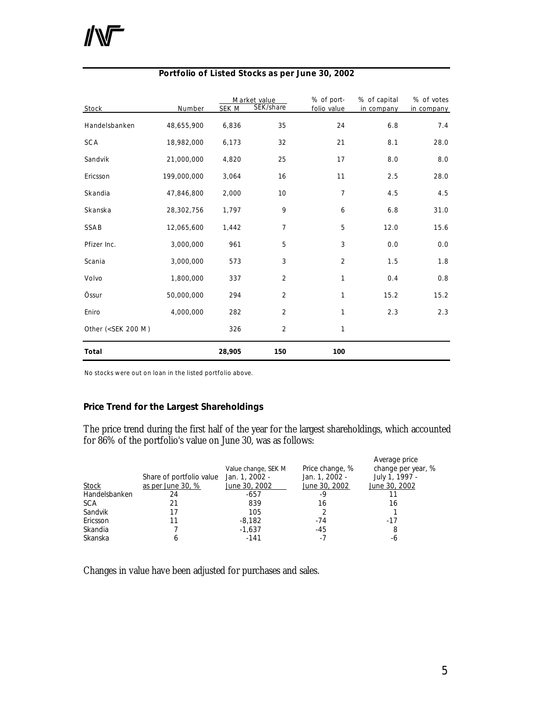| Stock                                                                                                                                            | Number      | SEK M  | Market value<br>SEK/share | % of port-<br>folio value | % of capital<br>in company | % of votes<br>in company |
|--------------------------------------------------------------------------------------------------------------------------------------------------|-------------|--------|---------------------------|---------------------------|----------------------------|--------------------------|
| Handelsbanken                                                                                                                                    | 48,655,900  | 6,836  | 35                        | 24                        | 6.8                        | 7.4                      |
| SCA                                                                                                                                              | 18,982,000  | 6,173  | 32                        | 21                        | 8.1                        | 28.0                     |
| Sandvik                                                                                                                                          | 21,000,000  | 4,820  | 25                        | 17                        | 8.0                        | 8.0                      |
| Ericsson                                                                                                                                         | 199,000,000 | 3,064  | 16                        | 11                        | 2.5                        | 28.0                     |
| Skandia                                                                                                                                          | 47,846,800  | 2,000  | 10                        | 7                         | 4.5                        | 4.5                      |
| Skanska                                                                                                                                          | 28,302,756  | 1,797  | 9                         | 6                         | 6.8                        | 31.0                     |
| SSAB                                                                                                                                             | 12,065,600  | 1,442  | $\overline{7}$            | 5                         | 12.0                       | 15.6                     |
| Pfizer Inc.                                                                                                                                      | 3,000,000   | 961    | 5                         | 3                         | 0.0                        | 0.0                      |
| Scania                                                                                                                                           | 3,000,000   | 573    | 3                         | 2                         | 1.5                        | 1.8                      |
| Volvo                                                                                                                                            | 1,800,000   | 337    | $\overline{2}$            | 1                         | 0.4                        | 0.8                      |
| Össur                                                                                                                                            | 50,000,000  | 294    | $\overline{2}$            | $\mathbf{1}$              | 15.2                       | 15.2                     |
| Eniro                                                                                                                                            | 4,000,000   | 282    | $\overline{2}$            | 1                         | 2.3                        | 2.3                      |
| Other ( <sek 200="" m)<="" td=""><td></td><td>326</td><td><math>\overline{2}</math></td><td><math>\mathbf{1}</math></td><td></td><td></td></sek> |             | 326    | $\overline{2}$            | $\mathbf{1}$              |                            |                          |
| Total                                                                                                                                            |             | 28,905 | 150                       | 100                       |                            |                          |

#### **Portfolio of Listed Stocks as per June 30, 2002**

No stocks were out on loan in the listed portfolio above.

#### **Price Trend for the Largest Shareholdings**

The price trend during the first half of the year for the largest shareholdings, which accounted for 86% of the portfolio's value on June 30, was as follows:

|               |                          |                     |                 | Average price      |
|---------------|--------------------------|---------------------|-----------------|--------------------|
|               |                          | Value change, SEK M | Price change, % | change per year, % |
|               | Share of portfolio value | Jan. 1, 2002 -      | Jan. 1, 2002 -  | July 1, 1997 -     |
| Stock         | as per June 30, %        | June 30, 2002       | June 30, 2002   | June 30, 2002      |
| Handelsbanken | 24                       | $-657$              | -9              |                    |
| <b>SCA</b>    |                          | 839                 | 16              | 16                 |
| Sandvik       |                          | 105                 |                 |                    |
| Ericsson      |                          | $-8.182$            | $-74$           | -17                |
| Skandia       |                          | $-1.637$            | $-45$           | 8                  |
| Skanska       |                          | $-141$              | -7              | -6                 |

Changes in value have been adjusted for purchases and sales.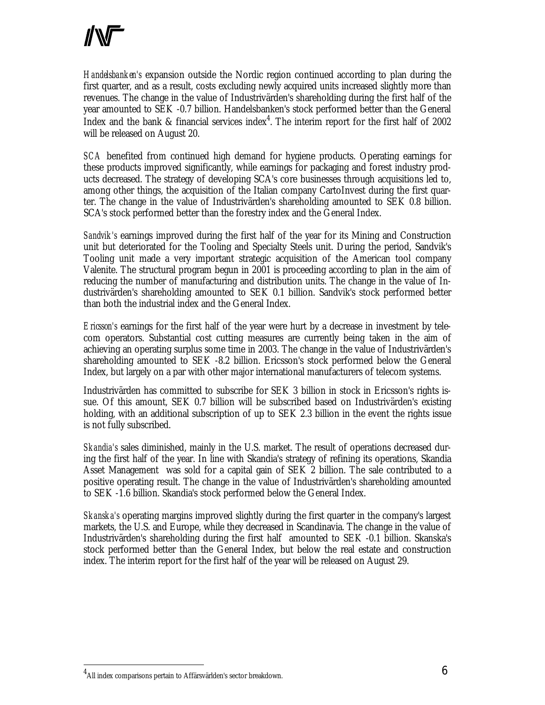*Handelsbanken's* expansion outside the Nordic region continued according to plan during the first quarter, and as a result, costs excluding newly acquired units increased slightly more than revenues. The change in the value of Industrivärden's shareholding during the first half of the year amounted to SEK -0.7 billion. Handelsbanken's stock performed better than the General Index and the bank & financial services index<sup>4</sup>. The interim report for the first half of 2002 will be released on August 20.

*SCA* benefited from continued high demand for hygiene products. Operating earnings for these products improved significantly, while earnings for packaging and forest industry products decreased. The strategy of developing SCA's core businesses through acquisitions led to, among other things, the acquisition of the Italian company CartoInvest during the first quarter. The change in the value of Industrivärden's shareholding amounted to SEK 0.8 billion. SCA's stock performed better than the forestry index and the General Index.

*Sandvik's* earnings improved during the first half of the year for its Mining and Construction unit but deteriorated for the Tooling and Specialty Steels unit. During the period, Sandvik's Tooling unit made a very important strategic acquisition of the American tool company Valenite. The structural program begun in 2001 is proceeding according to plan in the aim of reducing the number of manufacturing and distribution units. The change in the value of Industrivärden's shareholding amounted to SEK 0.1 billion. Sandvik's stock performed better than both the industrial index and the General Index.

*Ericsson's* earnings for the first half of the year were hurt by a decrease in investment by telecom operators. Substantial cost cutting measures are currently being taken in the aim of achieving an operating surplus some time in 2003. The change in the value of Industrivärden's shareholding amounted to SEK -8.2 billion. Ericsson's stock performed below the General Index, but largely on a par with other major international manufacturers of telecom systems.

Industrivärden has committed to subscribe for SEK 3 billion in stock in Ericsson's rights issue. Of this amount, SEK 0.7 billion will be subscribed based on Industrivärden's existing holding, with an additional subscription of up to SEK 2.3 billion in the event the rights issue is not fully subscribed.

*Skandia's* sales diminished, mainly in the U.S. market. The result of operations decreased during the first half of the year. In line with Skandia's strategy of refining its operations, Skandia Asset Management was sold for a capital gain of SEK 2 billion. The sale contributed to a positive operating result. The change in the value of Industrivärden's shareholding amounted to SEK -1.6 billion. Skandia's stock performed below the General Index.

*Skanska's* operating margins improved slightly during the first quarter in the company's largest markets, the U.S. and Europe, while they decreased in Scandinavia. The change in the value of Industrivärden's shareholding during the first half amounted to SEK -0.1 billion. Skanska's stock performed better than the General Index, but below the real estate and construction index. The interim report for the first half of the year will be released on August 29.

 $^4$ All index comparisons pertain to Affärsvärlden's sector breakdown.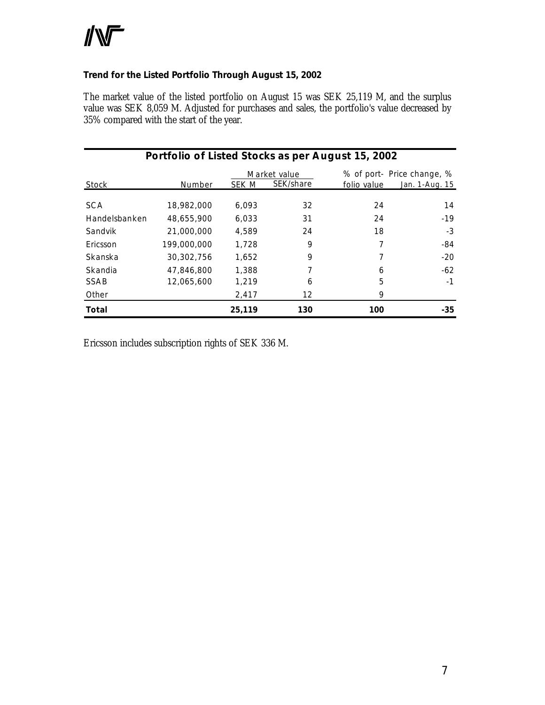#### **Trend for the Listed Portfolio Through August 15, 2002**

The market value of the listed portfolio on August 15 was SEK 25,119 M, and the surplus value was SEK 8,059 M. Adjusted for purchases and sales, the portfolio's value decreased by 35% compared with the start of the year.

|               | Portfolio of Listed Stocks as per August 15, 2002 |        |                           |             |                                              |
|---------------|---------------------------------------------------|--------|---------------------------|-------------|----------------------------------------------|
| Stock         | Number                                            | SEK M  | Market value<br>SEK/share | folio value | % of port- Price change, %<br>Jan. 1-Aug. 15 |
| <b>SCA</b>    | 18,982,000                                        | 6.093  | 32                        | 24          | 14                                           |
| Handelsbanken | 48,655,900                                        | 6.033  | 31                        | 24          | $-19$                                        |
| Sandvik       | 21,000,000                                        | 4,589  | 24                        | 18          | $-3$                                         |
| Ericsson      | 199,000,000                                       | 1,728  | 9                         |             | -84                                          |
| Skanska       | 30,302,756                                        | 1.652  | 9                         | 7           | $-20$                                        |
| Skandia       | 47,846,800                                        | 1,388  | 7                         | 6           | $-62$                                        |
| SSAB          | 12,065,600                                        | 1,219  | 6                         | 5           | $-1$                                         |
| Other         |                                                   | 2,417  | 12                        | 9           |                                              |
| Total         |                                                   | 25,119 | 130                       | 100         | -35                                          |

Ericsson includes subscription rights of SEK 336 M.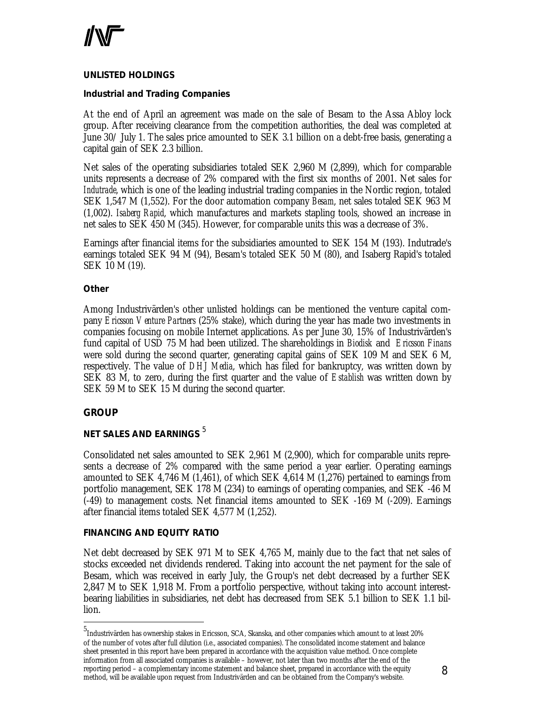

#### *UNLISTED HOLDINGS*

#### **Industrial and Trading Companies**

At the end of April an agreement was made on the sale of Besam to the Assa Abloy lock group. After receiving clearance from the competition authorities, the deal was completed at June 30/ July 1. The sales price amounted to SEK 3.1 billion on a debt-free basis, generating a capital gain of SEK 2.3 billion.

Net sales of the operating subsidiaries totaled SEK 2,960 M (2,899), which for comparable units represents a decrease of 2% compared with the first six months of 2001. Net sales for *Indutrade*, which is one of the leading industrial trading companies in the Nordic region, totaled SEK 1,547 M (1,552). For the door automation company *Besam*, net sales totaled SEK 963 M (1,002). *Isaberg Rapid*, which manufactures and markets stapling tools, showed an increase in net sales to SEK 450 M (345). However, for comparable units this was a decrease of 3%.

Earnings after financial items for the subsidiaries amounted to SEK 154 M (193). Indutrade's earnings totaled SEK 94 M (94), Besam's totaled SEK 50 M (80), and Isaberg Rapid's totaled SEK 10 M (19).

#### **Other**

Among Industrivärden's other unlisted holdings can be mentioned the venture capital company *Ericsson Venture Partners* (25% stake), which during the year has made two investments in companies focusing on mobile Internet applications. As per June 30, 15% of Industrivärden's fund capital of USD 75 M had been utilized. The shareholdings in *Biodisk* and *Ericsson Finans* were sold during the second quarter, generating capital gains of SEK 109 M and SEK 6 M, respectively. The value of *DHJ Media*, which has filed for bankruptcy, was written down by SEK 83 M, to zero, during the first quarter and the value of *Establish* was written down by SEK 59 M to SEK 15 M during the second quarter.

#### **GROUP**

l

#### *NET SALES AND EARNINGS* <sup>5</sup>

Consolidated net sales amounted to SEK 2,961 M (2,900), which for comparable units represents a decrease of 2% compared with the same period a year earlier. Operating earnings amounted to SEK 4,746 M (1,461), of which SEK 4,614 M (1,276) pertained to earnings from portfolio management, SEK 178 M (234) to earnings of operating companies, and SEK -46 M (-49) to management costs. Net financial items amounted to SEK -169 M (-209). Earnings after financial items totaled SEK 4,577 M (1,252).

#### *FINANCING AND EQUITY RATIO*

Net debt decreased by SEK 971 M to SEK 4,765 M, mainly due to the fact that net sales of stocks exceeded net dividends rendered. Taking into account the net payment for the sale of Besam, which was received in early July, the Group's net debt decreased by a further SEK 2,847 M to SEK 1,918 M. From a portfolio perspective, without taking into account interestbearing liabilities in subsidiaries, net debt has decreased from SEK 5.1 billion to SEK 1.1 billion.

<sup>5</sup> Industrivärden has ownership stakes in Ericsson, SCA, Skanska, and other companies which amount to at least 20% of the number of votes after full dilution (i.e., associated companies). The consolidated income statement and balance sheet presented in this report have been prepared in accordance with the acquisition value method. Once complete information from all associated companies is available – however, not later than two months after the end of the reporting period – a complementary income statement and balance sheet, prepared in accordance with the equity method, will be available upon request from Industrivärden and can be obtained from the Company's website.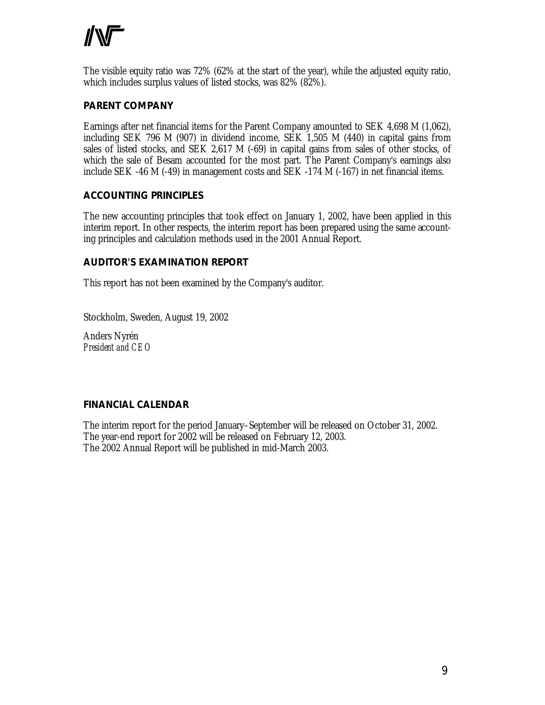The visible equity ratio was 72% (62% at the start of the year), while the adjusted equity ratio, which includes surplus values of listed stocks, was 82% (82%).

#### **PARENT COMPANY**

Earnings after net financial items for the Parent Company amounted to SEK 4,698 M (1,062), including SEK 796 M (907) in dividend income, SEK 1,505 M (440) in capital gains from sales of listed stocks, and SEK 2,617 M (-69) in capital gains from sales of other stocks, of which the sale of Besam accounted for the most part. The Parent Company's earnings also include SEK -46 M (-49) in management costs and SEK -174 M (-167) in net financial items.

#### **ACCOUNTING PRINCIPLES**

The new accounting principles that took effect on January 1, 2002, have been applied in this interim report. In other respects, the interim report has been prepared using the same accounting principles and calculation methods used in the 2001 Annual Report.

#### **AUDITOR'S EXAMINATION REPORT**

This report has not been examined by the Company's auditor.

Stockholm, Sweden, August 19, 2002

Anders Nyrén *President and CEO*

#### **FINANCIAL CALENDAR**

The interim report for the period January–September will be released on October 31, 2002. The year-end report for 2002 will be released on February 12, 2003. The 2002 Annual Report will be published in mid-March 2003.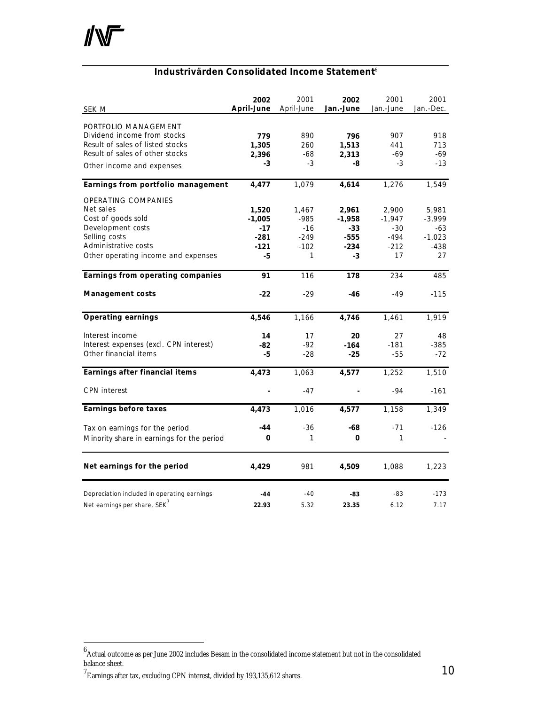### **Industrivärden Consolidated Income Statement**<sup>6</sup>

| <b>SEK M</b>                                | 2002<br>April-June | 2001<br>April-June | 2002<br>Jan.-June | 2001<br>Jan.-June | 2001<br>Jan.-Dec. |
|---------------------------------------------|--------------------|--------------------|-------------------|-------------------|-------------------|
| PORTFOLIO MANAGEMENT                        |                    |                    |                   |                   |                   |
| Dividend income from stocks                 | 779                | 890                | 796               | 907               | 918               |
| Result of sales of listed stocks            | 1,305              | 260                | 1,513             | 441               | 713               |
| Result of sales of other stocks             | 2,396              | -68                | 2,313             | $-69$             | -69               |
| Other income and expenses                   | -3                 | $-3$               | -8                | $-3$              | $-13$             |
| Earnings from portfolio management          | 4,477              | 1,079              | 4,614             | 1,276             | 1,549             |
| <b>OPERATING COMPANIES</b>                  |                    |                    |                   |                   |                   |
| Net sales                                   | 1,520              | 1,467              | 2,961             | 2,900             | 5,981             |
| Cost of goods sold                          | $-1,005$           | $-985$             | $-1,958$          | $-1,947$          | $-3,999$          |
| Development costs                           | $-17$              | $-16$              | $-33$             | $-30$             | -63               |
| Selling costs                               | $-281$             | $-249$             | $-555$            | $-494$            | $-1,023$          |
| Administrative costs                        | $-121$             | $-102$             | $-234$            | $-212$            | $-438$            |
| Other operating income and expenses         | -5                 | 1                  | -3                | 17                | 27                |
| Earnings from operating companies           | 91                 | 116                | 178               | 234               | 485               |
| <b>Management costs</b>                     | $-22$              | $-29$              | -46               | -49               | $-115$            |
| <b>Operating earnings</b>                   | 4,546              | 1,166              | 4,746             | 1,461             | 1,919             |
| Interest income                             | 14                 | 17                 | 20                | 27                | 48                |
| Interest expenses (excl. CPN interest)      | -82                | $-92$              | $-164$            | $-181$            | $-385$            |
| Other financial items                       | -5                 | $-28$              | $-25$             | $-55$             | $-72$             |
| Earnings after financial items              | 4,473              | 1,063              | 4,577             | 1,252             | 1,510             |
| <b>CPN</b> interest                         |                    | $-47$              |                   | $-94$             | $-161$            |
| <b>Earnings before taxes</b>                | 4,473              | 1,016              | 4,577             | 1,158             | 1,349             |
| Tax on earnings for the period              | $-44$              | $-36$              | -68               | $-71$             | $-126$            |
| Minority share in earnings for the period   | 0                  | 1                  | 0                 | 1                 |                   |
| Net earnings for the period                 | 4,429              | 981                | 4,509             | 1,088             | 1,223             |
| Depreciation included in operating earnings | $-44$              | $-40$              | -83               | $-83$             | $-173$            |
| Net earnings per share, SEK <sup>7</sup>    | 22.93              | 5.32               | 23.35             | 6.12              | 7.17              |

<sup>7</sup> Earnings after tax, excluding CPN interest, divided by 193,135,612 shares.

 $^6$ Actual outcome as per June 2002 includes Besam in the consolidated income statement but not in the consolidated balance sheet.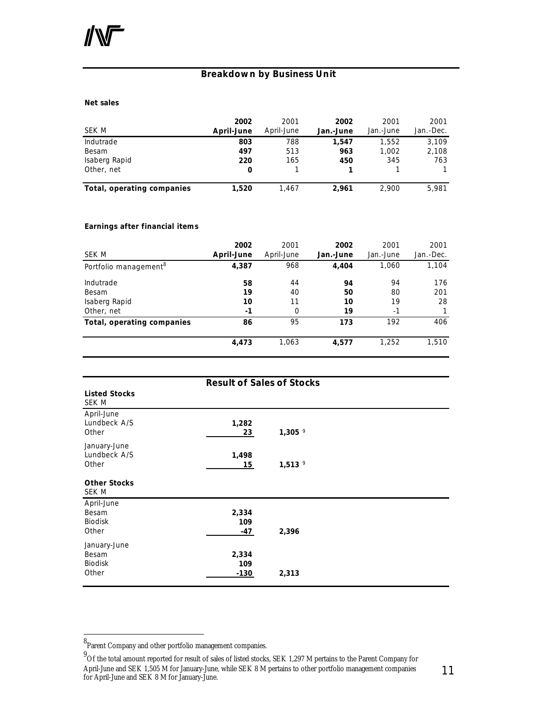### **Breakdown by Business Unit**

#### **Net sales**

| SEK M                      | 2002<br>April-June | 2001<br>April-June | 2002<br>Jan.-June | 2001<br>Jan.-June | 2001<br>Jan.-Dec. |
|----------------------------|--------------------|--------------------|-------------------|-------------------|-------------------|
| Indutrade                  | 803                | 788                | 1.547             | 1.552             | 3.109             |
| Besam                      | 497                | 513                | 963               | 1.002             | 2,108             |
| Isaberg Rapid              | 220                | 165                | 450               | 345               | 763               |
| Other, net                 | 0                  |                    |                   |                   |                   |
| Total, operating companies | 1.520              | 1.467              | 2.961             | 2.900             | 5.981             |

#### **Earnings after financial items**

| SEK M                             | 2002<br>April-June | 2001<br>April-June | 2002<br>Jan.-June | 2001<br>Jan.-June | 2001<br>Jan.-Dec. |
|-----------------------------------|--------------------|--------------------|-------------------|-------------------|-------------------|
| Portfolio management <sup>8</sup> | 4,387              | 968                | 4,404             | 1,060             | 1,104             |
| Indutrade                         | 58                 | 44                 | 94                | 94                | 176               |
| Besam                             | 19                 | 40                 | 50                | 80                | 201               |
| Isaberg Rapid                     | 10                 | 11                 | 10                | 19                | 28                |
| Other, net                        | -1                 | 0                  | 19                | $-1$              |                   |
| Total, operating companies        | 86                 | 95                 | 173               | 192               | 406               |
|                                   | 4,473              | 1,063              | 4,577             | 1,252             | 1,510             |

|                                                  | <b>Result of Sales of Stocks</b> |             |  |
|--------------------------------------------------|----------------------------------|-------------|--|
| <b>Listed Stocks</b><br>SEK M                    |                                  |             |  |
| April-June<br>Lundbeck A/S<br>Other              | 1,282<br>23                      | $1,305$ $9$ |  |
| January-June<br>Lundbeck A/S<br>Other            | 1,498<br>15                      | $1,513$ $9$ |  |
| <b>Other Stocks</b><br>SEK M                     |                                  |             |  |
| April-June<br>Besam<br><b>Biodisk</b><br>Other   | 2,334<br>109<br>-47              | 2,396       |  |
| January-June<br>Besam<br><b>Biodisk</b><br>Other | 2,334<br>109<br>$-130$           | 2,313       |  |

<sup>8&</sup>lt;br>Parent Company and other portfolio management companies.

<sup>&</sup>lt;sup>9</sup>Of the total amount reported for result of sales of listed stocks, SEK 1,297 M pertains to the Parent Company for April-June and SEK 1,505 M for January-June, while SEK 8 M pertains to other portfolio management companies for April-June and SEK 8 M for January-June.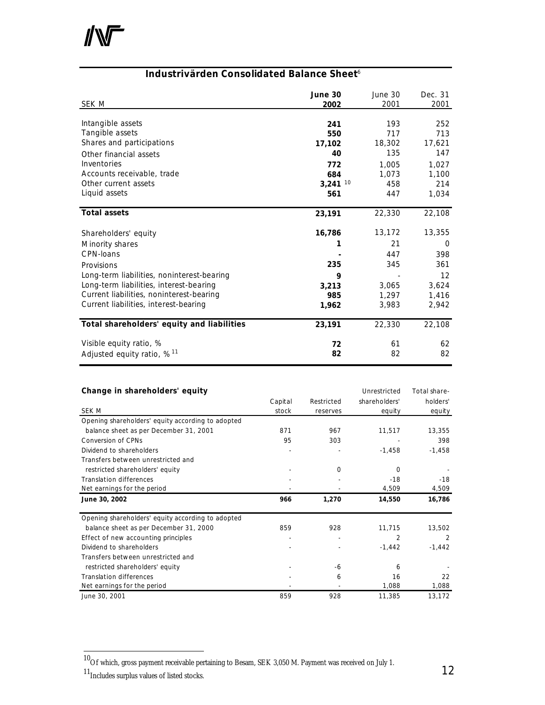

#### **Industrivärden Consolidated Balance Sheet**<sup>6</sup>

| <b>SEK M</b>                               | June 30<br>2002       | June 30<br>2001 | Dec. 31<br>2001 |
|--------------------------------------------|-----------------------|-----------------|-----------------|
| Intangible assets                          | 241                   | 193             | 252             |
| Tangible assets                            | 550                   | 717             | 713             |
| Shares and participations                  | 17,102                | 18,302          | 17,621          |
| Other financial assets                     | 40                    | 135             | 147             |
| Inventories                                | 772                   | 1,005           | 1,027           |
| Accounts receivable, trade                 | 684                   | 1,073           | 1,100           |
| Other current assets                       | $3,241$ <sup>10</sup> | 458             | 214             |
| Liquid assets                              | 561                   | 447             | 1,034           |
| <b>Total assets</b>                        | 23,191                | 22,330          | 22,108          |
| Shareholders' equity                       | 16,786                | 13,172          | 13,355          |
| Minority shares                            | 1                     | 21              | 0               |
| CPN-loans                                  |                       | 447             | 398             |
| Provisions                                 | 235                   | 345             | 361             |
| Long-term liabilities, noninterest-bearing | 9                     |                 | 12              |
| Long-term liabilities, interest-bearing    | 3,213                 | 3,065           | 3,624           |
| Current liabilities, noninterest-bearing   | 985                   | 1,297           | 1,416           |
| Current liabilities, interest-bearing      | 1,962                 | 3,983           | 2,942           |
| Total shareholders' equity and liabilities | 23,191                | 22,330          | 22,108          |
| Visible equity ratio, %                    | 72                    | 61              | 62              |
| Adjusted equity ratio, $\%$ <sup>11</sup>  | 82                    | 82              | 82              |

|  | Change in shareholders' equity |  |
|--|--------------------------------|--|
|--|--------------------------------|--|

| Change in shareholders' equity                    |         |            | Unrestricted   | Total share- |
|---------------------------------------------------|---------|------------|----------------|--------------|
|                                                   | Capital | Restricted | shareholders'  | holders'     |
| SEK M                                             | stock   | reserves   | equity         | equity       |
| Opening shareholders' equity according to adopted |         |            |                |              |
| balance sheet as per December 31, 2001            | 871     | 967        | 11,517         | 13,355       |
| <b>Conversion of CPNs</b>                         | 95      | 303        |                | 398          |
| Dividend to shareholders                          |         |            | $-1,458$       | $-1,458$     |
| Transfers between unrestricted and                |         |            |                |              |
| restricted shareholders' equity                   |         | $\Omega$   | $\Omega$       |              |
| <b>Translation differences</b>                    |         |            | $-18$          | $-18$        |
| Net earnings for the period                       |         |            | 4,509          | 4,509        |
| June 30, 2002                                     | 966     | 1,270      | 14,550         | 16,786       |
|                                                   |         |            |                |              |
| Opening shareholders' equity according to adopted |         |            |                |              |
| balance sheet as per December 31, 2000            | 859     | 928        | 11,715         | 13,502       |
| Effect of new accounting principles               |         |            | $\overline{2}$ | 2            |
| Dividend to shareholders                          |         |            | $-1,442$       | $-1,442$     |
| Transfers between unrestricted and                |         |            |                |              |
| restricted shareholders' equity                   |         | -6         | 6              |              |
| <b>Translation differences</b>                    |         | 6          | 16             | 22           |
| Net earnings for the period                       |         |            | 1,088          | 1,088        |

l

 $^{10}$ Of which, gross payment receivable pertaining to Besam, SEK 3,050 M. Payment was received on July 1.

<sup>&</sup>lt;sup>11</sup>Includes surplus values of listed stocks.